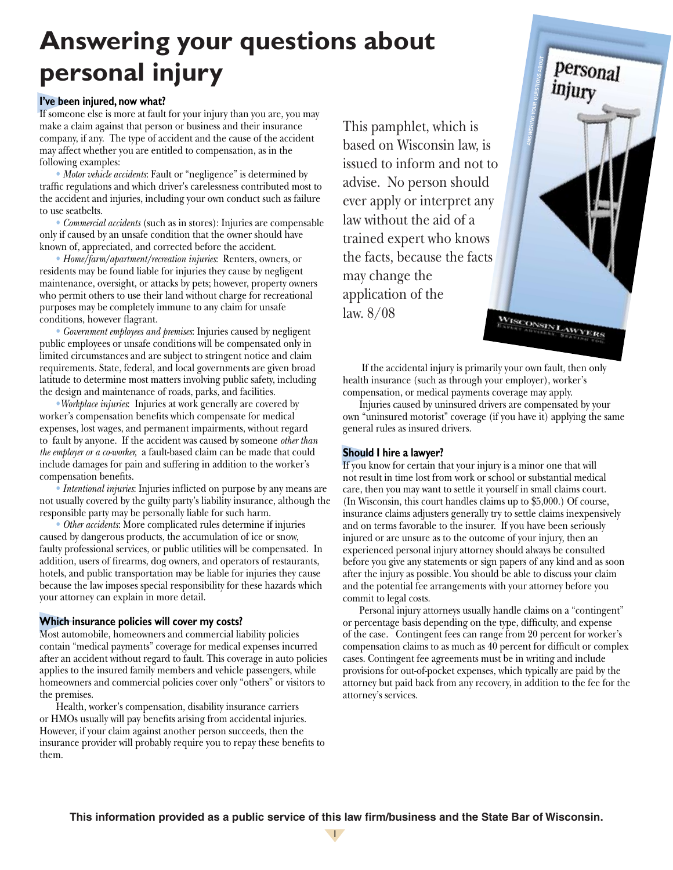# **Answering your questions about personal injury**

## **I've been injured, now what?**

If someone else is more at fault for your injury than you are, you may make a claim against that person or business and their insurance company, if any. The type of accident and the cause of the accident may affect whether you are entitled to compensation, as in the following examples:

• *Motor vehicle accidents*: Fault or "negligence" is determined by traffic regulations and which driver's carelessness contributed most to the accident and injuries, including your own conduct such as failure to use seatbelts.

• *Commercial accidents* (such as in stores): Injuries are compensable only if caused by an unsafe condition that the owner should have known of, appreciated, and corrected before the accident.

• *Home/farm/apartment/recreation injuries*: Renters, owners, or residents may be found liable for injuries they cause by negligent maintenance, oversight, or attacks by pets; however, property owners who permit others to use their land without charge for recreational purposes may be completely immune to any claim for unsafe conditions, however flagrant.

• *Government employees and premises*: Injuries caused by negligent public employees or unsafe conditions will be compensated only in limited circumstances and are subject to stringent notice and claim requirements. State, federal, and local governments are given broad latitude to determine most matters involving public safety, including the design and maintenance of roads, parks, and facilities.

•*Workplace injuries*: Injuries at work generally are covered by worker's compensation benefits which compensate for medical expenses, lost wages, and permanent impairments, without regard to fault by anyone. If the accident was caused by someone *other than the employer or a co-worker,* a fault-based claim can be made that could include damages for pain and suffering in addition to the worker's compensation benefits.

• *Intentional injuries*: Injuries inflicted on purpose by any means are not usually covered by the guilty party's liability insurance, although the responsible party may be personally liable for such harm.

• *Other accidents*: More complicated rules determine if injuries caused by dangerous products, the accumulation of ice or snow, faulty professional services, or public utilities will be compensated. In addition, users of firearms, dog owners, and operators of restaurants, hotels, and public transportation may be liable for injuries they cause because the law imposes special responsibility for these hazards which your attorney can explain in more detail.

## **Which insurance policies will cover my costs?**

Most automobile, homeowners and commercial liability policies contain "medical payments" coverage for medical expenses incurred after an accident without regard to fault. This coverage in auto policies applies to the insured family members and vehicle passengers, while homeowners and commercial policies cover only "others" or visitors to the premises.

Health, worker's compensation, disability insurance carriers or HMOs usually will pay benefits arising from accidental injuries. However, if your claim against another person succeeds, then the insurance provider will probably require you to repay these benefits to them.

This pamphlet, which is based on Wisconsin law, is issued to inform and not to advise. No person should ever apply or interpret any law without the aid of a trained expert who knows the facts, because the facts may change the application of the law. 8/08 WISCONSIN LAWYERS



Injuries caused by uninsured drivers are compensated by your own "uninsured motorist" coverage (if you have it) applying the same general rules as insured drivers.

ANSWERING YOUR QUESTIONS ABOUT

personal

injury

## **Should I hire a lawyer?**

If you know for certain that your injury is a minor one that will not result in time lost from work or school or substantial medical care, then you may want to settle it yourself in small claims court. (In Wisconsin, this court handles claims up to \$5,000.) Of course, insurance claims adjusters generally try to settle claims inexpensively and on terms favorable to the insurer. If you have been seriously injured or are unsure as to the outcome of your injury, then an experienced personal injury attorney should always be consulted before you give any statements or sign papers of any kind and as soon after the injury as possible. You should be able to discuss your claim and the potential fee arrangements with your attorney before you commit to legal costs.

Personal injury attorneys usually handle claims on a "contingent" or percentage basis depending on the type, difficulty, and expense of the case. Contingent fees can range from 20 percent for worker's compensation claims to as much as 40 percent for difficult or complex cases. Contingent fee agreements must be in writing and include provisions for out-of-pocket expenses, which typically are paid by the attorney but paid back from any recovery, in addition to the fee for the attorney's services.

**This information provided as a public service of this law firm/business and the State Bar of Wisconsin.**